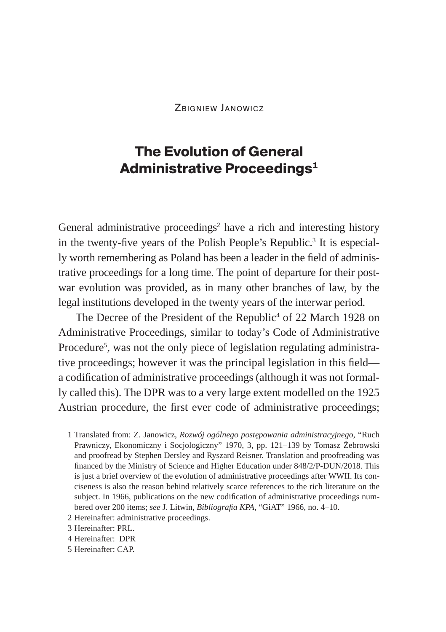ZBIGNIEW JANOWICZ

## **The Evolution of General Administrative Proceedings1**

General administrative proceedings<sup>2</sup> have a rich and interesting history in the twenty-five years of the Polish People's Republic.<sup>3</sup> It is especially worth remembering as Poland has been a leader in the field of administrative proceedings for a long time. The point of departure for their postwar evolution was provided, as in many other branches of law, by the legal institutions developed in the twenty years of the interwar period.

The Decree of the President of the Republic<sup>4</sup> of 22 March 1928 on Administrative Proceedings, similar to today's Code of Administrative Procedure<sup>5</sup>, was not the only piece of legislation regulating administrative proceedings; however it was the principal legislation in this field a codification of administrative proceedings (although it was not formally called this). The DPR was to a very large extent modelled on the 1925 Austrian procedure, the first ever code of administrative proceedings;

5 Hereinafter: CAP.

<sup>1</sup> Translated from: Z. Janowicz, *Rozwój ogólnego postępowania administracyjnego*, "Ruch Prawniczy, Ekonomiczny i Socjologiczny" 1970, 3, pp. 121–139 by Tomasz Żebrowski and proofread by Stephen Dersley and Ryszard Reisner. Translation and proofreading was financed by the Ministry of Science and Higher Education under 848/2/P-DUN/2018. This is just a brief overview of the evolution of administrative proceedings after WWII. Its conciseness is also the reason behind relatively scarce references to the rich literature on the subject. In 1966, publications on the new codification of administrative proceedings numbered over 200 items; *see* J. Litwin, *Bibliografia KPA*, "GiAT" 1966, no. 4–10.

<sup>2</sup> Hereinafter: administrative proceedings.

<sup>3</sup> Hereinafter: PRL.

<sup>4</sup> Hereinafter: DPR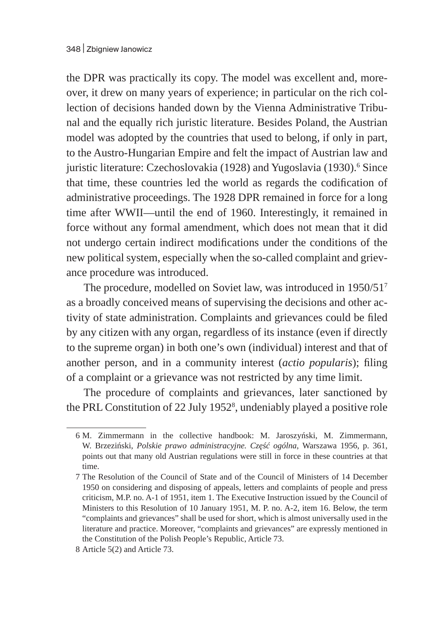the DPR was practically its copy. The model was excellent and, moreover, it drew on many years of experience; in particular on the rich collection of decisions handed down by the Vienna Administrative Tribunal and the equally rich juristic literature. Besides Poland, the Austrian model was adopted by the countries that used to belong, if only in part, to the Austro-Hungarian Empire and felt the impact of Austrian law and juristic literature: Czechoslovakia (1928) and Yugoslavia (1930).<sup>6</sup> Since that time, these countries led the world as regards the codification of administrative proceedings. The 1928 DPR remained in force for a long time after WWII—until the end of 1960. Interestingly, it remained in force without any formal amendment, which does not mean that it did not undergo certain indirect modifications under the conditions of the new political system, especially when the so-called complaint and grievance procedure was introduced.

The procedure, modelled on Soviet law, was introduced in 1950/517 as a broadly conceived means of supervising the decisions and other activity of state administration. Complaints and grievances could be filed by any citizen with any organ, regardless of its instance (even if directly to the supreme organ) in both one's own (individual) interest and that of another person, and in a community interest (*actio popularis*); filing of a complaint or a grievance was not restricted by any time limit.

The procedure of complaints and grievances, later sanctioned by the PRL Constitution of 22 July 1952<sup>8</sup>, undeniably played a positive role

<sup>6</sup> M. Zimmermann in the collective handbook: M. Jaroszyński, M. Zimmermann, W. Brzeziński, *Polskie prawo administracyjne. Część ogólna*, Warszawa 1956, p. 361, points out that many old Austrian regulations were still in force in these countries at that time.

<sup>7</sup> The Resolution of the Council of State and of the Council of Ministers of 14 December 1950 on considering and disposing of appeals, letters and complaints of people and press criticism, M.P. no. A-1 of 1951, item 1. The Executive Instruction issued by the Council of Ministers to this Resolution of 10 January 1951, M. P. no. A-2, item 16. Below, the term "complaints and grievances" shall be used for short, which is almost universally used in the literature and practice. Moreover, "complaints and grievances" are expressly mentioned in the Constitution of the Polish People's Republic, Article 73.

<sup>8</sup> Article 5(2) and Article 73.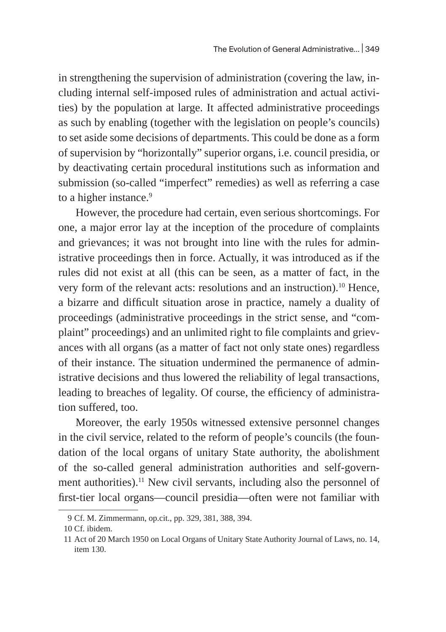in strengthening the supervision of administration (covering the law, including internal self-imposed rules of administration and actual activities) by the population at large. It affected administrative proceedings as such by enabling (together with the legislation on people's councils) to set aside some decisions of departments. This could be done as a form of supervision by "horizontally" superior organs, i.e. council presidia, or by deactivating certain procedural institutions such as information and submission (so-called "imperfect" remedies) as well as referring a case to a higher instance.<sup>9</sup>

However, the procedure had certain, even serious shortcomings. For one, a major error lay at the inception of the procedure of complaints and grievances; it was not brought into line with the rules for administrative proceedings then in force. Actually, it was introduced as if the rules did not exist at all (this can be seen, as a matter of fact, in the very form of the relevant acts: resolutions and an instruction).<sup>10</sup> Hence, a bizarre and difficult situation arose in practice, namely a duality of proceedings (administrative proceedings in the strict sense, and "complaint" proceedings) and an unlimited right to file complaints and grievances with all organs (as a matter of fact not only state ones) regardless of their instance. The situation undermined the permanence of administrative decisions and thus lowered the reliability of legal transactions, leading to breaches of legality. Of course, the efficiency of administration suffered, too.

Moreover, the early 1950s witnessed extensive personnel changes in the civil service, related to the reform of people's councils (the foundation of the local organs of unitary State authority, the abolishment of the so-called general administration authorities and self-government authorities).<sup>11</sup> New civil servants, including also the personnel of first-tier local organs—council presidia—often were not familiar with

<sup>9</sup> Cf. M. Zimmermann, op.cit., pp. 329, 381, 388, 394.

<sup>10</sup> Cf. ibidem.

<sup>11</sup> Act of 20 March 1950 on Local Organs of Unitary State Authority Journal of Laws, no. 14, item 130.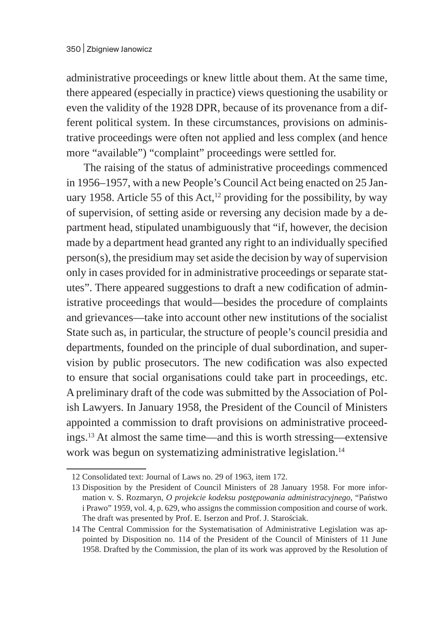administrative proceedings or knew little about them. At the same time, there appeared (especially in practice) views questioning the usability or even the validity of the 1928 DPR, because of its provenance from a different political system. In these circumstances, provisions on administrative proceedings were often not applied and less complex (and hence more "available") "complaint" proceedings were settled for.

The raising of the status of administrative proceedings commenced in 1956–1957, with a new People's Council Act being enacted on 25 January 1958. Article 55 of this Act, $12$  providing for the possibility, by way of supervision, of setting aside or reversing any decision made by a department head, stipulated unambiguously that "if, however, the decision made by a department head granted any right to an individually specified person(s), the presidium may set aside the decision by way of supervision only in cases provided for in administrative proceedings or separate statutes". There appeared suggestions to draft a new codification of administrative proceedings that would—besides the procedure of complaints and grievances—take into account other new institutions of the socialist State such as, in particular, the structure of people's council presidia and departments, founded on the principle of dual subordination, and supervision by public prosecutors. The new codification was also expected to ensure that social organisations could take part in proceedings, etc. A preliminary draft of the code was submitted by the Association of Polish Lawyers. In January 1958, the President of the Council of Ministers appointed a commission to draft provisions on administrative proceedings.13 At almost the same time—and this is worth stressing—extensive work was begun on systematizing administrative legislation.<sup>14</sup>

<sup>12</sup> Consolidated text: Journal of Laws no. 29 of 1963, item 172.

<sup>13</sup> Disposition by the President of Council Ministers of 28 January 1958. For more information v. S. Rozmaryn, *O projekcie kodeksu postępowania administracyjnego*, "Państwo i Prawo" 1959, vol. 4, p. 629, who assigns the commission composition and course of work. The draft was presented by Prof. E. Iserzon and Prof. J. Starościak.

<sup>14</sup> The Central Commission for the Systematisation of Administrative Legislation was appointed by Disposition no. 114 of the President of the Council of Ministers of 11 June 1958. Drafted by the Commission, the plan of its work was approved by the Resolution of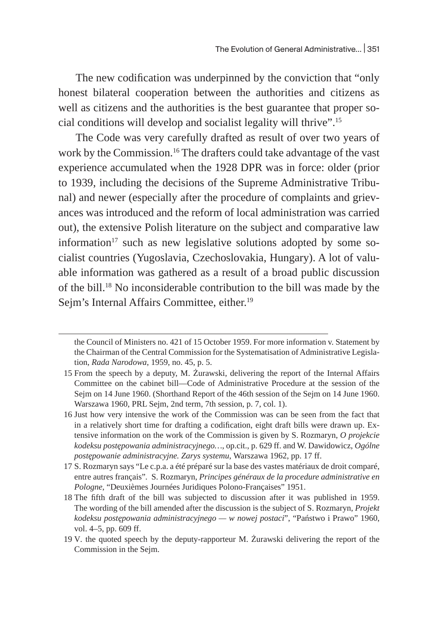The new codification was underpinned by the conviction that "only honest bilateral cooperation between the authorities and citizens as well as citizens and the authorities is the best guarantee that proper social conditions will develop and socialist legality will thrive".15

The Code was very carefully drafted as result of over two years of work by the Commission.16 The drafters could take advantage of the vast experience accumulated when the 1928 DPR was in force: older (prior to 1939, including the decisions of the Supreme Administrative Tribunal) and newer (especially after the procedure of complaints and grievances was introduced and the reform of local administration was carried out), the extensive Polish literature on the subject and comparative law information $17$  such as new legislative solutions adopted by some socialist countries (Yugoslavia, Czechoslovakia, Hungary). A lot of valuable information was gathered as a result of a broad public discussion of the bill.18 No inconsiderable contribution to the bill was made by the Sejm's Internal Affairs Committee, either.<sup>19</sup>

the Council of Ministers no. 421 of 15 October 1959. For more information v. Statement by the Chairman of the Central Commission for the Systematisation of Administrative Legislation, *Rada Narodowa*, 1959, no. 45, p. 5.

<sup>15</sup> From the speech by a deputy, M. Żurawski, delivering the report of the Internal Affairs Committee on the cabinet bill—Code of Administrative Procedure at the session of the Sejm on 14 June 1960. (Shorthand Report of the 46th session of the Sejm on 14 June 1960. Warszawa 1960, PRL Sejm, 2nd term, 7th session, p. 7, col. 1).

<sup>16</sup> Just how very intensive the work of the Commission was can be seen from the fact that in a relatively short time for drafting a codification, eight draft bills were drawn up. Extensive information on the work of the Commission is given by S. Rozmaryn, *O projekcie kodeksu postępowania administracyjnego…*, op.cit., p. 629 ff. and W. Dawidowicz, *Ogólne postępowanie administracyjne. Zarys systemu*, Warszawa 1962, pp. 17 ff.

<sup>17</sup> S. Rozmaryn says "Le c.p.a. a été préparé sur la base des vastes matériaux de droit comparé, entre autres français"*.* S. Rozmaryn, *Principes généraux de la procedure administrative en Pologne*, "Deuxièmes Journées Juridiques Polono-Françaises" 1951.

<sup>18</sup> The fifth draft of the bill was subjected to discussion after it was published in 1959. The wording of the bill amended after the discussion is the subject of S. Rozmaryn, *Projekt kodeksu postępowania administracyjnego — w nowej postaci*", "Państwo i Prawo" 1960, vol. 4–5, pp. 609 ff.

<sup>19</sup> V*.* the quoted speech by the deputy-rapporteur M. Żurawski delivering the report of the Commission in the Sejm.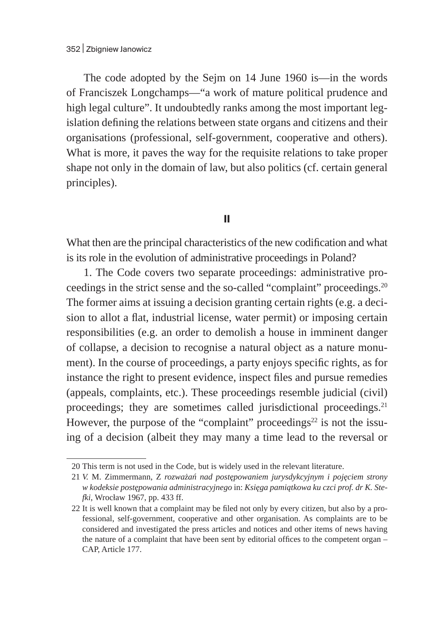The code adopted by the Sejm on 14 June 1960 is—in the words of Franciszek Longchamps—"a work of mature political prudence and high legal culture". It undoubtedly ranks among the most important legislation defining the relations between state organs and citizens and their organisations (professional, self-government, cooperative and others). What is more, it paves the way for the requisite relations to take proper shape not only in the domain of law, but also politics (cf. certain general principles).

## **II**

What then are the principal characteristics of the new codification and what is its role in the evolution of administrative proceedings in Poland?

1. The Code covers two separate proceedings: administrative proceedings in the strict sense and the so-called "complaint" proceedings.20 The former aims at issuing a decision granting certain rights (e.g. a decision to allot a flat, industrial license, water permit) or imposing certain responsibilities (e.g. an order to demolish a house in imminent danger of collapse, a decision to recognise a natural object as a nature monument). In the course of proceedings, a party enjoys specific rights, as for instance the right to present evidence, inspect files and pursue remedies (appeals, complaints, etc.). These proceedings resemble judicial (civil) proceedings; they are sometimes called jurisdictional proceedings. $21$ However, the purpose of the "complaint" proceedings $22$  is not the issuing of a decision (albeit they may many a time lead to the reversal or

<sup>20</sup> This term is not used in the Code, but is widely used in the relevant literature.

<sup>21</sup> *V.* M. Zimmermann, Z *rozważań nad postępowaniem jurysdykcyjnym i pojęciem strony w kodeksie postępowania administracyjnego* in: *Księga pamiątkowa ku czci prof. dr K. Stefki*, Wrocław 1967, pp. 433 ff.

<sup>22</sup> It is well known that a complaint may be filed not only by every citizen, but also by a professional, self-government, cooperative and other organisation. As complaints are to be considered and investigated the press articles and notices and other items of news having the nature of a complaint that have been sent by editorial offices to the competent organ – CAP, Article 177.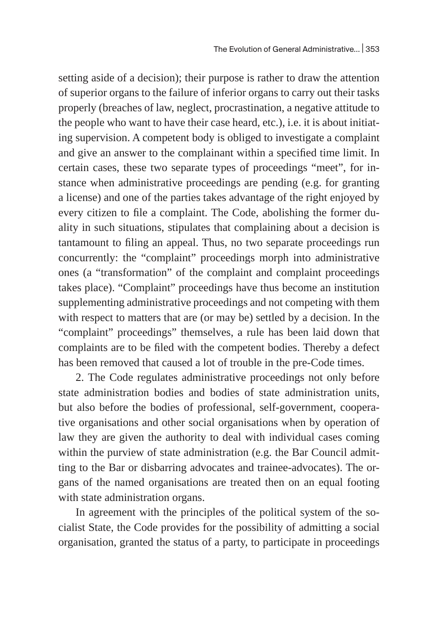setting aside of a decision); their purpose is rather to draw the attention of superior organs to the failure of inferior organs to carry out their tasks properly (breaches of law, neglect, procrastination, a negative attitude to the people who want to have their case heard, etc.), i.e. it is about initiating supervision. A competent body is obliged to investigate a complaint and give an answer to the complainant within a specified time limit. In certain cases, these two separate types of proceedings "meet", for instance when administrative proceedings are pending (e.g. for granting a license) and one of the parties takes advantage of the right enjoyed by every citizen to file a complaint. The Code, abolishing the former duality in such situations, stipulates that complaining about a decision is tantamount to filing an appeal. Thus, no two separate proceedings run concurrently: the "complaint" proceedings morph into administrative ones (a "transformation" of the complaint and complaint proceedings takes place). "Complaint" proceedings have thus become an institution supplementing administrative proceedings and not competing with them with respect to matters that are (or may be) settled by a decision. In the "complaint" proceedings" themselves, a rule has been laid down that complaints are to be filed with the competent bodies. Thereby a defect has been removed that caused a lot of trouble in the pre-Code times.

2. The Code regulates administrative proceedings not only before state administration bodies and bodies of state administration units, but also before the bodies of professional, self-government, cooperative organisations and other social organisations when by operation of law they are given the authority to deal with individual cases coming within the purview of state administration (e.g. the Bar Council admitting to the Bar or disbarring advocates and trainee-advocates). The organs of the named organisations are treated then on an equal footing with state administration organs.

In agreement with the principles of the political system of the socialist State, the Code provides for the possibility of admitting a social organisation, granted the status of a party, to participate in proceedings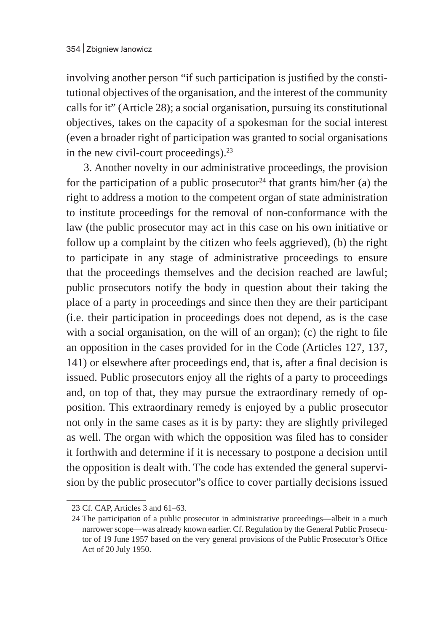involving another person "if such participation is justified by the constitutional objectives of the organisation, and the interest of the community calls for it" (Article 28); a social organisation, pursuing its constitutional objectives, takes on the capacity of a spokesman for the social interest (even a broader right of participation was granted to social organisations in the new civil-court proceedings).<sup>23</sup>

3. Another novelty in our administrative proceedings, the provision for the participation of a public prosecutor<sup>24</sup> that grants him/her (a) the right to address a motion to the competent organ of state administration to institute proceedings for the removal of non-conformance with the law (the public prosecutor may act in this case on his own initiative or follow up a complaint by the citizen who feels aggrieved), (b) the right to participate in any stage of administrative proceedings to ensure that the proceedings themselves and the decision reached are lawful; public prosecutors notify the body in question about their taking the place of a party in proceedings and since then they are their participant (i.e. their participation in proceedings does not depend, as is the case with a social organisation, on the will of an organ); (c) the right to file an opposition in the cases provided for in the Code (Articles 127, 137, 141) or elsewhere after proceedings end, that is, after a final decision is issued. Public prosecutors enjoy all the rights of a party to proceedings and, on top of that, they may pursue the extraordinary remedy of opposition. This extraordinary remedy is enjoyed by a public prosecutor not only in the same cases as it is by party: they are slightly privileged as well. The organ with which the opposition was filed has to consider it forthwith and determine if it is necessary to postpone a decision until the opposition is dealt with. The code has extended the general supervision by the public prosecutor"s office to cover partially decisions issued

<sup>23</sup> Cf. CAP, Articles 3 and 61–63.

<sup>24</sup> The participation of a public prosecutor in administrative proceedings—albeit in a much narrower scope—was already known earlier. Cf. Regulation by the General Public Prosecutor of 19 June 1957 based on the very general provisions of the Public Prosecutor's Office Act of 20 July 1950.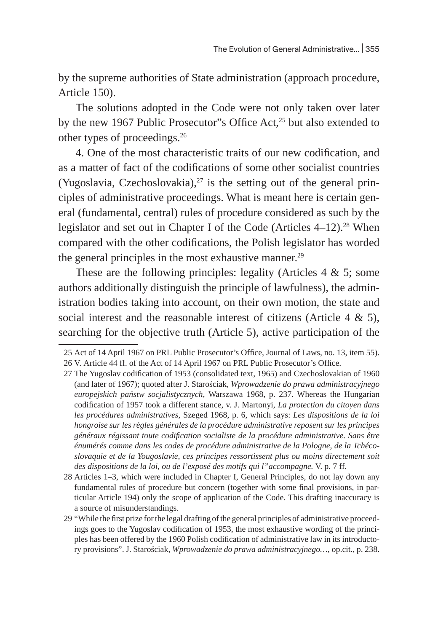by the supreme authorities of State administration (approach procedure, Article 150).

The solutions adopted in the Code were not only taken over later by the new 1967 Public Prosecutor"s Office Act,<sup>25</sup> but also extended to other types of proceedings.26

4. One of the most characteristic traits of our new codification, and as a matter of fact of the codifications of some other socialist countries (Yugoslavia, Czechoslovakia), $27$  is the setting out of the general principles of administrative proceedings. What is meant here is certain general (fundamental, central) rules of procedure considered as such by the legislator and set out in Chapter I of the Code (Articles 4–12).<sup>28</sup> When compared with the other codifications, the Polish legislator has worded the general principles in the most exhaustive manner. $29$ 

These are the following principles: legality (Articles 4 & 5; some authors additionally distinguish the principle of lawfulness), the administration bodies taking into account, on their own motion, the state and social interest and the reasonable interest of citizens (Article 4 & 5), searching for the objective truth (Article 5), active participation of the

<sup>25</sup> Act of 14 April 1967 on PRL Public Prosecutor's Office, Journal of Laws, no. 13, item 55). 26 V. Article 44 ff. of the Act of 14 April 1967 on PRL Public Prosecutor's Office.

<sup>27</sup> The Yugoslav codification of 1953 (consolidated text, 1965) and Czechoslovakian of 1960 (and later of 1967); quoted after J. Starościak, *Wprowadzenie do prawa administracyjnego europejskich państw socjalistycznych,* Warszawa 1968, p. 237. Whereas the Hungarian codification of 1957 took a different stance, v. J. Martonyi, *La protection du citoyen dans les procédures administratives,* Szeged 1968, p. 6, which says: *Les dispositions de la loi hongroise sur les règles générales de la procédure administrative reposent sur les principes généraux régissant toute codification socialiste de la procédure administrative. Sans être énumérés comme dans les codes de procédure administrative de la Pologne, de la Tchécoslovaquie et de la Yougoslavie, ces principes ressortissent plus ou moins directement soit des dispositions de la loi, ou de l'exposé des motifs qui l"accompagne.* V. p. 7 ff.

<sup>28</sup> Articles 1–3, which were included in Chapter I, General Principles*,* do not lay down any fundamental rules of procedure but concern (together with some final provisions, in particular Article 194) only the scope of application of the Code. This drafting inaccuracy is a source of misunderstandings.

<sup>29</sup> "While the first prize for the legal drafting of the general principles of administrative proceedings goes to the Yugoslav codification of 1953, the most exhaustive wording of the principles has been offered by the 1960 Polish codification of administrative law in its introductory provisions". J. Starościak, *Wprowadzenie do prawa administracyjnego…*, op.cit., p. 238.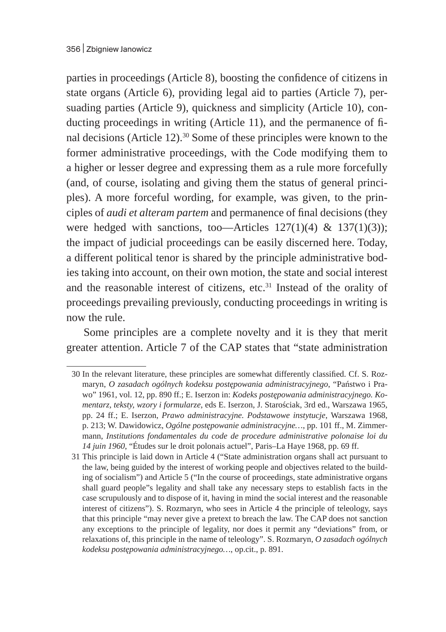parties in proceedings (Article 8), boosting the confidence of citizens in state organs (Article 6), providing legal aid to parties (Article 7), persuading parties (Article 9), quickness and simplicity (Article 10), conducting proceedings in writing (Article 11), and the permanence of final decisions (Article 12).30 Some of these principles were known to the former administrative proceedings, with the Code modifying them to a higher or lesser degree and expressing them as a rule more forcefully (and, of course, isolating and giving them the status of general principles). A more forceful wording, for example, was given, to the principles of *audi et alteram partem* and permanence of final decisions (they were hedged with sanctions, too—Articles  $127(1)(4)$  &  $137(1)(3)$ ; the impact of judicial proceedings can be easily discerned here. Today, a different political tenor is shared by the principle administrative bodies taking into account, on their own motion, the state and social interest and the reasonable interest of citizens, etc.<sup>31</sup> Instead of the orality of proceedings prevailing previously, conducting proceedings in writing is now the rule.

Some principles are a complete novelty and it is they that merit greater attention. Article 7 of the CAP states that "state administration

<sup>30</sup> In the relevant literature, these principles are somewhat differently classified. Cf. S. Rozmaryn, *O zasadach ogólnych kodeksu postępowania administracyjnego*, "Państwo i Prawo" 1961, vol. 12, pp. 890 ff.; E. Iserzon in: *Kodeks postępowania administracyjnego. Komentarz, teksty, wzory i formularze*, eds E. Iserzon, J. Starościak, 3rd ed., Warszawa 1965, pp. 24 ff.; E. Iserzon, *Prawo administracyjne. Podstawowe instytucje*, Warszawa 1968, p. 213; W. Dawidowicz, *Ogólne postępowanie administracyjne…*, pp. 101 ff., M. Zimmermann, *Institutions fondamentales du code de procedure administrative polonaise loi du 14 juin 1960*, "Études sur le droit polonais actuel", Paris–La Haye 1968, pp. 69 ff.

<sup>31</sup> This principle is laid down in Article 4 ("State administration organs shall act pursuant to the law, being guided by the interest of working people and objectives related to the building of socialism") and Article 5 ("In the course of proceedings, state administrative organs shall guard people"s legality and shall take any necessary steps to establish facts in the case scrupulously and to dispose of it, having in mind the social interest and the reasonable interest of citizens"). S. Rozmaryn, who sees in Article 4 the principle of teleology, says that this principle "may never give a pretext to breach the law. The CAP does not sanction any exceptions to the principle of legality, nor does it permit any "deviations" from, or relaxations of, this principle in the name of teleology". S. Rozmaryn, *O zasadach ogólnych kodeksu postępowania administracyjnego…*, op.cit., p. 891.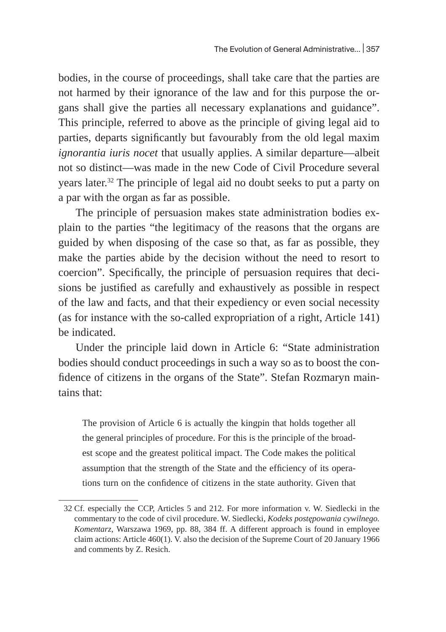bodies, in the course of proceedings, shall take care that the parties are not harmed by their ignorance of the law and for this purpose the organs shall give the parties all necessary explanations and guidance". This principle, referred to above as the principle of giving legal aid to parties, departs significantly but favourably from the old legal maxim *ignorantia iuris nocet* that usually applies. A similar departure—albeit not so distinct—was made in the new Code of Civil Procedure several years later.<sup>32</sup> The principle of legal aid no doubt seeks to put a party on a par with the organ as far as possible.

The principle of persuasion makes state administration bodies explain to the parties "the legitimacy of the reasons that the organs are guided by when disposing of the case so that, as far as possible, they make the parties abide by the decision without the need to resort to coercion". Specifically, the principle of persuasion requires that decisions be justified as carefully and exhaustively as possible in respect of the law and facts, and that their expediency or even social necessity (as for instance with the so-called expropriation of a right, Article 141) be indicated.

Under the principle laid down in Article 6: "State administration bodies should conduct proceedings in such a way so as to boost the confidence of citizens in the organs of the State". Stefan Rozmaryn maintains that:

The provision of Article 6 is actually the kingpin that holds together all the general principles of procedure. For this is the principle of the broadest scope and the greatest political impact. The Code makes the political assumption that the strength of the State and the efficiency of its operations turn on the confidence of citizens in the state authority. Given that

<sup>32</sup> Cf. especially the CCP, Articles 5 and 212. For more information v. W. Siedlecki in the commentary to the code of civil procedure. W. Siedlecki, *Kodeks postępowania cywilnego. Komentarz*, Warszawa 1969, pp. 88, 384 ff. A different approach is found in employee claim actions: Article 460(1). V. also the decision of the Supreme Court of 20 January 1966 and comments by Z. Resich.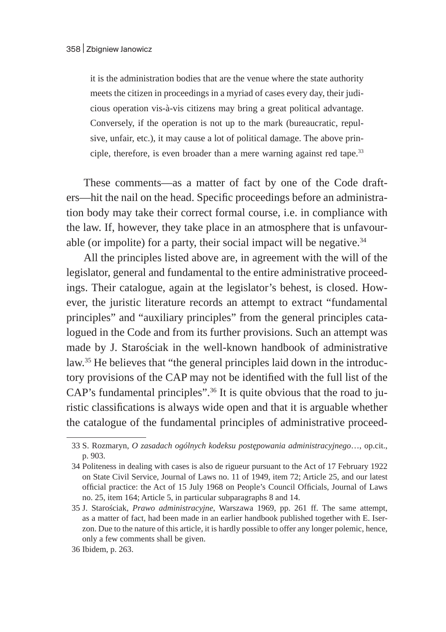it is the administration bodies that are the venue where the state authority meets the citizen in proceedings in a myriad of cases every day, their judicious operation vis-à-vis citizens may bring a great political advantage. Conversely, if the operation is not up to the mark (bureaucratic, repulsive, unfair, etc.), it may cause a lot of political damage. The above principle, therefore, is even broader than a mere warning against red tape. $33$ 

These comments—as a matter of fact by one of the Code drafters—hit the nail on the head. Specific proceedings before an administration body may take their correct formal course, i.e. in compliance with the law. If, however, they take place in an atmosphere that is unfavourable (or impolite) for a party, their social impact will be negative. $34$ 

All the principles listed above are, in agreement with the will of the legislator, general and fundamental to the entire administrative proceedings. Their catalogue, again at the legislator's behest, is closed. However, the juristic literature records an attempt to extract "fundamental principles" and "auxiliary principles" from the general principles catalogued in the Code and from its further provisions. Such an attempt was made by J. Starościak in the well-known handbook of administrative law.35 He believes that "the general principles laid down in the introductory provisions of the CAP may not be identified with the full list of the CAP's fundamental principles".36 It is quite obvious that the road to juristic classifications is always wide open and that it is arguable whether the catalogue of the fundamental principles of administrative proceed-

<sup>33</sup> S. Rozmaryn, *O zasadach ogólnych kodeksu postępowania administracyjnego*…, op.cit., p. 903.

<sup>34</sup> Politeness in dealing with cases is also de rigueur pursuant to the Act of 17 February 1922 on State Civil Service, Journal of Laws no. 11 of 1949, item 72; Article 25, and our latest official practice: the Act of 15 July 1968 on People's Council Officials, Journal of Laws no. 25, item 164; Article 5, in particular subparagraphs 8 and 14.

<sup>35</sup> J. Starościak, *Prawo administracyjne*, Warszawa 1969, pp. 261 ff. The same attempt, as a matter of fact, had been made in an earlier handbook published together with E. Iserzon. Due to the nature of this article, it is hardly possible to offer any longer polemic, hence, only a few comments shall be given.

<sup>36</sup> Ibidem, p. 263.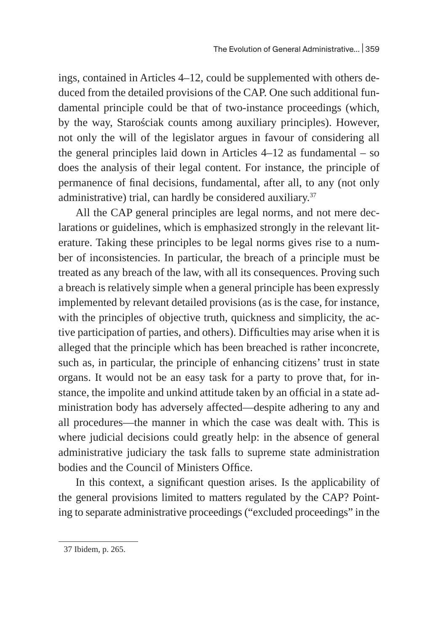ings, contained in Articles 4–12, could be supplemented with others deduced from the detailed provisions of the CAP. One such additional fundamental principle could be that of two-instance proceedings (which, by the way, Starościak counts among auxiliary principles). However, not only the will of the legislator argues in favour of considering all the general principles laid down in Articles 4–12 as fundamental – so does the analysis of their legal content. For instance, the principle of permanence of final decisions, fundamental, after all, to any (not only administrative) trial, can hardly be considered auxiliary.<sup>37</sup>

All the CAP general principles are legal norms, and not mere declarations or guidelines, which is emphasized strongly in the relevant literature. Taking these principles to be legal norms gives rise to a number of inconsistencies. In particular, the breach of a principle must be treated as any breach of the law, with all its consequences. Proving such a breach is relatively simple when a general principle has been expressly implemented by relevant detailed provisions (as is the case, for instance, with the principles of objective truth, quickness and simplicity, the active participation of parties, and others). Difficulties may arise when it is alleged that the principle which has been breached is rather inconcrete, such as, in particular, the principle of enhancing citizens' trust in state organs. It would not be an easy task for a party to prove that, for instance, the impolite and unkind attitude taken by an official in a state administration body has adversely affected—despite adhering to any and all procedures—the manner in which the case was dealt with. This is where judicial decisions could greatly help: in the absence of general administrative judiciary the task falls to supreme state administration bodies and the Council of Ministers Office.

In this context, a significant question arises. Is the applicability of the general provisions limited to matters regulated by the CAP? Pointing to separate administrative proceedings ("excluded proceedings" in the

<sup>37</sup> Ibidem, p. 265.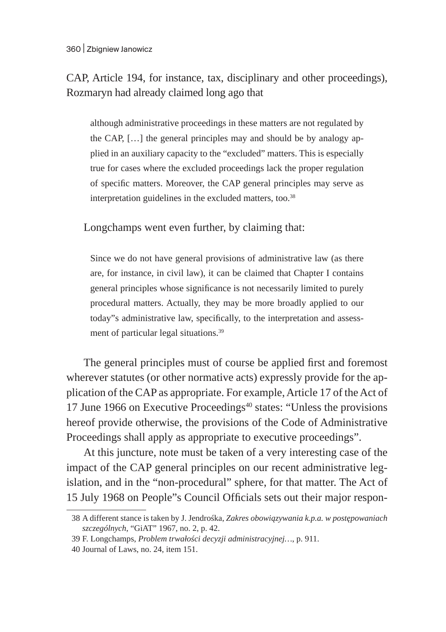CAP, Article 194, for instance, tax, disciplinary and other proceedings), Rozmaryn had already claimed long ago that

although administrative proceedings in these matters are not regulated by the CAP, […] the general principles may and should be by analogy applied in an auxiliary capacity to the "excluded" matters. This is especially true for cases where the excluded proceedings lack the proper regulation of specific matters. Moreover, the CAP general principles may serve as interpretation guidelines in the excluded matters, too.<sup>38</sup>

Longchamps went even further, by claiming that:

Since we do not have general provisions of administrative law (as there are, for instance, in civil law), it can be claimed that Chapter I contains general principles whose significance is not necessarily limited to purely procedural matters. Actually, they may be more broadly applied to our today"s administrative law, specifically, to the interpretation and assessment of particular legal situations.39

The general principles must of course be applied first and foremost wherever statutes (or other normative acts) expressly provide for the application of the CAP as appropriate. For example, Article 17 of the Act of 17 June 1966 on Executive Proceedings<sup>40</sup> states: "Unless the provisions hereof provide otherwise, the provisions of the Code of Administrative Proceedings shall apply as appropriate to executive proceedings".

At this juncture, note must be taken of a very interesting case of the impact of the CAP general principles on our recent administrative legislation, and in the "non-procedural" sphere, for that matter. The Act of 15 July 1968 on People"s Council Officials sets out their major respon-

<sup>38</sup> A different stance is taken by J. Jendrośka, *Zakres obowiązywania k.p.a. w postępowaniach szczególnych*, "GiAT" 1967, no. 2, p. 42.

<sup>39</sup> F. Longchamps, *Problem trwałości decyzji administracyjnej…*, p. 911.

<sup>40</sup> Journal of Laws, no. 24, item 151.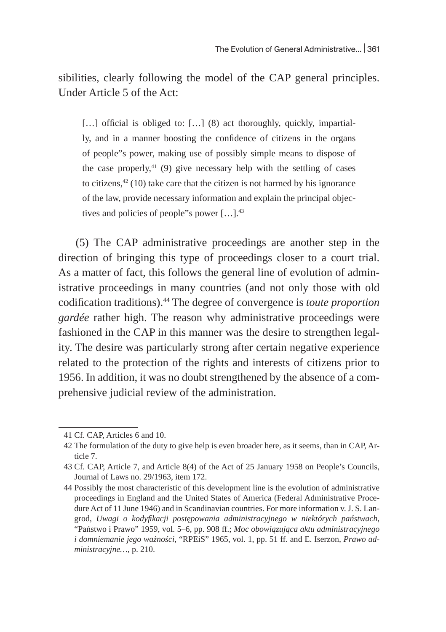sibilities, clearly following the model of the CAP general principles. Under Article 5 of the Act:

[...] official is obliged to: [...] (8) act thoroughly, quickly, impartially, and in a manner boosting the confidence of citizens in the organs of people"s power, making use of possibly simple means to dispose of the case properly, $41$  (9) give necessary help with the settling of cases to citizens, $42$  (10) take care that the citizen is not harmed by his ignorance of the law, provide necessary information and explain the principal objectives and policies of people"s power [...].<sup>43</sup>

(5) The CAP administrative proceedings are another step in the direction of bringing this type of proceedings closer to a court trial. As a matter of fact, this follows the general line of evolution of administrative proceedings in many countries (and not only those with old codification traditions).<sup>44</sup> The degree of convergence is *toute proportion gardée* rather high. The reason why administrative proceedings were fashioned in the CAP in this manner was the desire to strengthen legality. The desire was particularly strong after certain negative experience related to the protection of the rights and interests of citizens prior to 1956. In addition, it was no doubt strengthened by the absence of a comprehensive judicial review of the administration.

<sup>41</sup> Cf. CAP, Articles 6 and 10.

<sup>42</sup> The formulation of the duty to give help is even broader here, as it seems, than in CAP, Article 7.

<sup>43</sup> Cf. CAP, Article 7, and Article 8(4) of the Act of 25 January 1958 on People's Councils, Journal of Laws no. 29/1963, item 172.

<sup>44</sup> Possibly the most characteristic of this development line is the evolution of administrative proceedings in England and the United States of America (Federal Administrative Procedure Act of 11 June 1946) and in Scandinavian countries. For more information v. J. S. Langrod, *Uwagi o kodyfikacji postępowania administracyjnego w niektórych państwach*, "Państwo i Prawo" 1959, vol. 5–6, pp. 908 ff.; *Moc obowiązująca aktu administracyjnego i domniemanie jego ważności*, "RPEiS" 1965, vol. 1, pp. 51 ff. and E. Iserzon, *Prawo administracyjne…*, p. 210.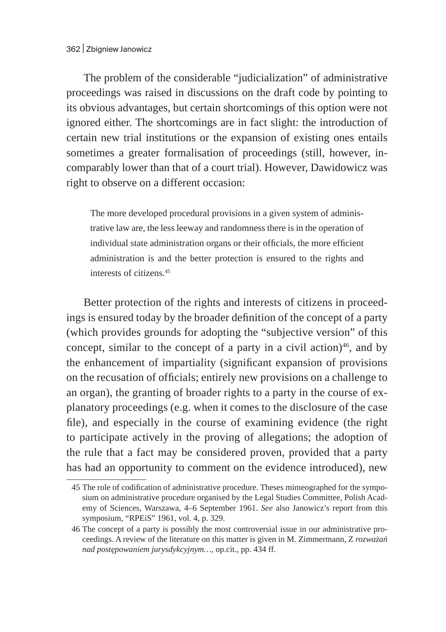The problem of the considerable "judicialization" of administrative proceedings was raised in discussions on the draft code by pointing to its obvious advantages, but certain shortcomings of this option were not ignored either. The shortcomings are in fact slight: the introduction of certain new trial institutions or the expansion of existing ones entails sometimes a greater formalisation of proceedings (still, however, incomparably lower than that of a court trial). However, Dawidowicz was right to observe on a different occasion:

The more developed procedural provisions in a given system of administrative law are, the less leeway and randomness there is in the operation of individual state administration organs or their officials, the more efficient administration is and the better protection is ensured to the rights and interests of citizens.<sup>45</sup>

Better protection of the rights and interests of citizens in proceedings is ensured today by the broader definition of the concept of a party (which provides grounds for adopting the "subjective version" of this concept, similar to the concept of a party in a civil action) $46$ , and by the enhancement of impartiality (significant expansion of provisions on the recusation of officials; entirely new provisions on a challenge to an organ), the granting of broader rights to a party in the course of explanatory proceedings (e.g. when it comes to the disclosure of the case file), and especially in the course of examining evidence (the right to participate actively in the proving of allegations; the adoption of the rule that a fact may be considered proven, provided that a party has had an opportunity to comment on the evidence introduced), new

<sup>45</sup> The role of codification of administrative procedure. Theses mimeographed for the symposium on administrative procedure organised by the Legal Studies Committee, Polish Academy of Sciences, Warszawa, 4–6 September 1961. *See* also Janowicz's report from this symposium, "RPEiS" 1961, vol. 4, p. 329.

<sup>46</sup> The concept of a party is possibly the most controversial issue in our administrative proceedings. A review of the literature on this matter is given in M. Zimmermann, Z *rozważań nad postępowaniem jurysdykcyjnym…*, op.cit., pp. 434 ff.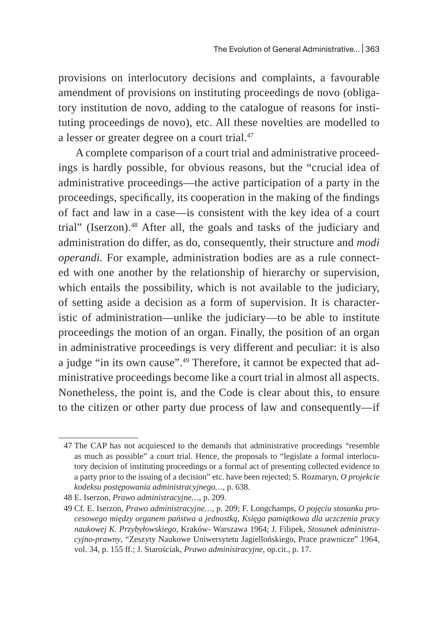provisions on interlocutory decisions and complaints, a favourable amendment of provisions on instituting proceedings de novo (obligatory institution de novo, adding to the catalogue of reasons for instituting proceedings de novo), etc. All these novelties are modelled to a lesser or greater degree on a court trial.<sup>47</sup>

A complete comparison of a court trial and administrative proceedings is hardly possible, for obvious reasons, but the "crucial idea of administrative proceedings—the active participation of a party in the proceedings, specifically, its cooperation in the making of the findings of fact and law in a case—is consistent with the key idea of a court trial" (Iserzon).<sup>48</sup> After all, the goals and tasks of the judiciary and administration do differ, as do, consequently, their structure and *modi operandi.* For example, administration bodies are as a rule connected with one another by the relationship of hierarchy or supervision, which entails the possibility, which is not available to the judiciary, of setting aside a decision as a form of supervision. It is characteristic of administration—unlike the judiciary—to be able to institute proceedings the motion of an organ. Finally, the position of an organ in administrative proceedings is very different and peculiar: it is also a judge "in its own cause".<sup>49</sup> Therefore, it cannot be expected that administrative proceedings become like a court trial in almost all aspects. Nonetheless, the point is, and the Code is clear about this, to ensure to the citizen or other party due process of law and consequently—if

<sup>47</sup> The CAP has not acquiesced to the demands that administrative proceedings "resemble as much as possible" a court trial. Hence, the proposals to "legislate a formal interlocutory decision of instituting proceedings or a formal act of presenting collected evidence to a party prior to the issuing of a decision" etc. have been rejected; S. Rozmaryn, *O projekcie kodeksu postępowania administracyjnego…*, p. 638.

<sup>48</sup> E. Iserzon, *Prawo administracyjne…*, p. 209.

<sup>49</sup> Cf. E. Iserzon, *Prawo administracyjne…*, p. 209; F. Longchamps, *O pojęciu stosunku procesowego między organem państwa a jednostką, Księga pamiątkowa dla uczczenia pracy naukowej K. Przybyłowskiego,* Kraków- Warszawa 1964; J. Filipek, *Stosunek administracyjno-prawny*, "Zeszyty Naukowe Uniwersytetu Jagiellońskiego, Prace prawnicze" 1964, vol. 34, p. 155 ff.; J. Starościak, *Prawo administracyjne*, op.cit., p. 17.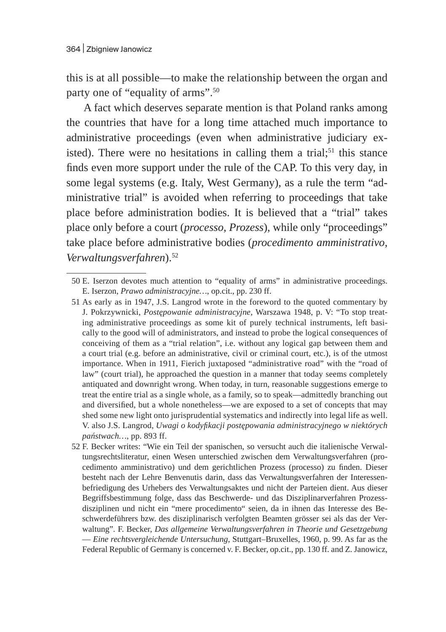this is at all possible—to make the relationship between the organ and party one of "equality of arms".50

A fact which deserves separate mention is that Poland ranks among the countries that have for a long time attached much importance to administrative proceedings (even when administrative judiciary existed). There were no hesitations in calling them a trial;<sup>51</sup> this stance finds even more support under the rule of the CAP. To this very day, in some legal systems (e.g. Italy, West Germany), as a rule the term "administrative trial" is avoided when referring to proceedings that take place before administration bodies. It is believed that a "trial" takes place only before a court (*processo, Prozess*), while only "proceedings" take place before administrative bodies (*procedimento amministrativo, Verwaltungsverfahren*).<sup>52</sup>

<sup>50</sup> E. Iserzon devotes much attention to "equality of arms" in administrative proceedings. E. Iserzon, *Prawo administracyjne…*, op.cit., pp. 230 ff.

<sup>51</sup> As early as in 1947, J.S. Langrod wrote in the foreword to the quoted commentary by J. Pokrzywnicki, *Postępowanie administracyjne*, Warszawa 1948, p. V: "To stop treating administrative proceedings as some kit of purely technical instruments, left basically to the good will of administrators, and instead to probe the logical consequences of conceiving of them as a "trial relation", i.e. without any logical gap between them and a court trial (e.g. before an administrative, civil or criminal court, etc.), is of the utmost importance. When in 1911, Fierich juxtaposed "administrative road" with the "road of law" (court trial), he approached the question in a manner that today seems completely antiquated and downright wrong. When today, in turn, reasonable suggestions emerge to treat the entire trial as a single whole, as a family, so to speak—admittedly branching out and diversified, but a whole nonetheless—we are exposed to a set of concepts that may shed some new light onto jurisprudential systematics and indirectly into legal life as well. V. also J.S. Langrod, *Uwagi o kodyfikacji postępowania administracyjnego w niektórych państwach…*, pp. 893 ff.

<sup>52</sup> F. Becker writes: "Wie ein Teil der spanischen, so versucht auch die italienische Verwaltungsrechtsliteratur, einen Wesen unterschied zwischen dem Verwaltungsverfahren (procedimento amministrativo) und dem gerichtlichen Prozess (processo) zu finden. Dieser besteht nach der Lehre Benvenutis darin, dass das Verwaltungsverfahren der Interessenbefriedigung des Urhebers des Verwaltungsaktes und nicht der Parteien dient. Aus dieser Begriffsbestimmung folge, dass das Beschwerde- und das Disziplinarverfahren Prozessdisziplinen und nicht ein "mere procedimento" seien, da in ihnen das Interesse des Beschwerdeführers bzw. des disziplinarisch verfolgten Beamten grösser sei als das der Verwaltung". F. Becker, *Das allgemeine Verwaltungsverfahren in Theorie und Gesetzgebung*  — *Eine rechtsvergleichende Untersuchung*, Stuttgart–Bruxelles, 1960, p. 99. As far as the Federal Republic of Germany is concerned v. F. Becker, op.cit., pp. 130 ff. and Z. Janowicz,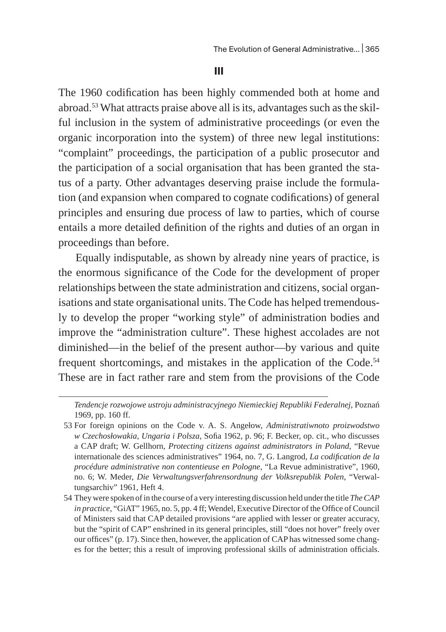**III**

The 1960 codification has been highly commended both at home and abroad.<sup>53</sup> What attracts praise above all is its, advantages such as the skilful inclusion in the system of administrative proceedings (or even the organic incorporation into the system) of three new legal institutions: "complaint" proceedings, the participation of a public prosecutor and the participation of a social organisation that has been granted the status of a party. Other advantages deserving praise include the formulation (and expansion when compared to cognate codifications) of general principles and ensuring due process of law to parties, which of course entails a more detailed definition of the rights and duties of an organ in proceedings than before.

Equally indisputable, as shown by already nine years of practice, is the enormous significance of the Code for the development of proper relationships between the state administration and citizens, social organisations and state organisational units. The Code has helped tremendously to develop the proper "working style" of administration bodies and improve the "administration culture". These highest accolades are not diminished—in the belief of the present author—by various and quite frequent shortcomings, and mistakes in the application of the Code.<sup>54</sup> These are in fact rather rare and stem from the provisions of the Code

*Tendencje rozwojowe ustroju administracyjnego Niemieckiej Republiki Federalnej*, Poznań 1969, pp. 160 ff.

<sup>53</sup> For foreign opinions on the Code v. A. S. Angełow, *Administratiwnoto proizwodstwo w Czechosłowakia, Ungaria i Polsza*, Sofia 1962, p. 96; F. Becker, op. cit., who discusses a CAP draft; W. Gellhorn, *Protecting citizens against administrators in Poland*, "Revue internationale des sciences administratives" 1964, no. 7, G. Langrod, *La codification de la procédure administrative non contentieuse en Pologne*, "La Revue administrative", 1960, no. 6; W. Meder, *Die Verwaltungsverfahrensordnung der Volksrepublik Polen*, "Verwaltungsarchiv" 1961, Heft 4.

<sup>54</sup> They were spoken of in the course of a very interesting discussion held under the title *The CAP in practice*, "GiAT" 1965, no. 5, pp. 4 ff; Wendel, Executive Director of the Office of Council of Ministers said that CAP detailed provisions "are applied with lesser or greater accuracy, but the "spirit of CAP" enshrined in its general principles, still "does not hover" freely over our offices" (p. 17). Since then, however, the application of CAP has witnessed some changes for the better; this a result of improving professional skills of administration officials.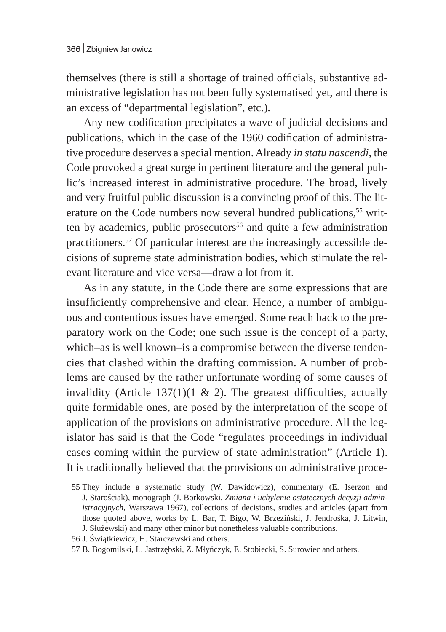themselves (there is still a shortage of trained officials, substantive administrative legislation has not been fully systematised yet, and there is an excess of "departmental legislation", etc.).

Any new codification precipitates a wave of judicial decisions and publications, which in the case of the 1960 codification of administrative procedure deserves a special mention. Already *in statu nascendi*, the Code provoked a great surge in pertinent literature and the general public's increased interest in administrative procedure. The broad, lively and very fruitful public discussion is a convincing proof of this. The literature on the Code numbers now several hundred publications,<sup>55</sup> written by academics, public prosecutors $56$  and quite a few administration practitioners.57 Of particular interest are the increasingly accessible decisions of supreme state administration bodies, which stimulate the relevant literature and vice versa—draw a lot from it.

As in any statute, in the Code there are some expressions that are insufficiently comprehensive and clear. Hence, a number of ambiguous and contentious issues have emerged. Some reach back to the preparatory work on the Code; one such issue is the concept of a party, which–as is well known–is a compromise between the diverse tendencies that clashed within the drafting commission. A number of problems are caused by the rather unfortunate wording of some causes of invalidity (Article  $137(1)(1 \& 2)$ . The greatest difficulties, actually quite formidable ones, are posed by the interpretation of the scope of application of the provisions on administrative procedure. All the legislator has said is that the Code "regulates proceedings in individual cases coming within the purview of state administration" (Article 1). It is traditionally believed that the provisions on administrative proce-

<sup>55</sup> They include a systematic study (W. Dawidowicz), commentary (E. Iserzon and J. Starościak), monograph (J. Borkowski, *Zmiana i uchylenie ostatecznych decyzji administracyjnych*, Warszawa 1967), collections of decisions, studies and articles (apart from those quoted above, works by L. Bar, T. Bigo, W. Brzeziński, J. Jendrośka, J. Litwin, J. Służewski) and many other minor but nonetheless valuable contributions.

<sup>56</sup> J. Świątkiewicz, H. Starczewski and others.

<sup>57</sup> B. Bogomilski, L. Jastrzębski, Z. Młyńczyk, E. Stobiecki, S. Surowiec and others.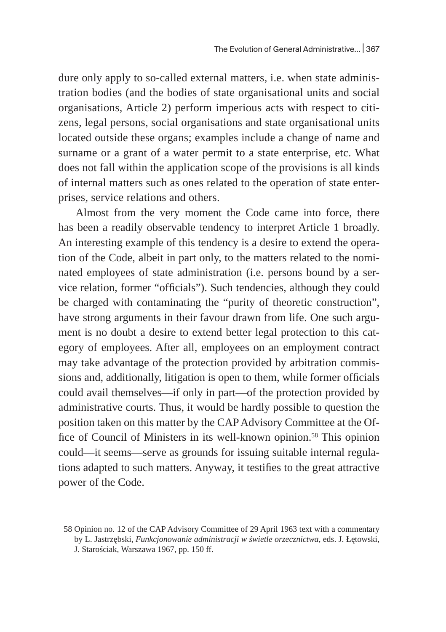dure only apply to so-called external matters, i.e. when state administration bodies (and the bodies of state organisational units and social organisations, Article 2) perform imperious acts with respect to citizens, legal persons, social organisations and state organisational units located outside these organs; examples include a change of name and surname or a grant of a water permit to a state enterprise, etc. What does not fall within the application scope of the provisions is all kinds of internal matters such as ones related to the operation of state enterprises, service relations and others.

Almost from the very moment the Code came into force, there has been a readily observable tendency to interpret Article 1 broadly. An interesting example of this tendency is a desire to extend the operation of the Code, albeit in part only, to the matters related to the nominated employees of state administration (i.e. persons bound by a service relation, former "officials"). Such tendencies, although they could be charged with contaminating the "purity of theoretic construction", have strong arguments in their favour drawn from life. One such argument is no doubt a desire to extend better legal protection to this category of employees. After all, employees on an employment contract may take advantage of the protection provided by arbitration commissions and, additionally, litigation is open to them, while former officials could avail themselves—if only in part—of the protection provided by administrative courts. Thus, it would be hardly possible to question the position taken on this matter by the CAP Advisory Committee at the Office of Council of Ministers in its well-known opinion.<sup>58</sup> This opinion could—it seems—serve as grounds for issuing suitable internal regulations adapted to such matters. Anyway, it testifies to the great attractive power of the Code.

<sup>58</sup> Opinion no. 12 of the CAP Advisory Committee of 29 April 1963 text with a commentary by L. Jastrzębski, *Funkcjonowanie administracji w świetle orzecznictwa*, eds. J. Łętowski, J. Starościak, Warszawa 1967, pp. 150 ff.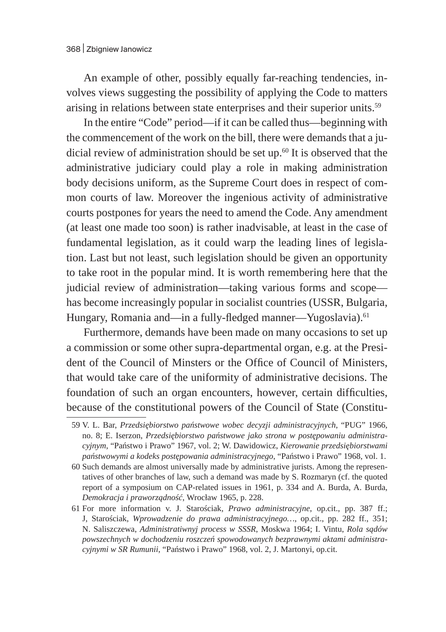An example of other, possibly equally far-reaching tendencies, involves views suggesting the possibility of applying the Code to matters arising in relations between state enterprises and their superior units.59

In the entire "Code" period—if it can be called thus—beginning with the commencement of the work on the bill, there were demands that a judicial review of administration should be set up.<sup>60</sup> It is observed that the administrative judiciary could play a role in making administration body decisions uniform, as the Supreme Court does in respect of common courts of law. Moreover the ingenious activity of administrative courts postpones for years the need to amend the Code. Any amendment (at least one made too soon) is rather inadvisable, at least in the case of fundamental legislation, as it could warp the leading lines of legislation. Last but not least, such legislation should be given an opportunity to take root in the popular mind. It is worth remembering here that the judicial review of administration—taking various forms and scope has become increasingly popular in socialist countries (USSR, Bulgaria, Hungary, Romania and—in a fully-fledged manner—Yugoslavia).<sup>61</sup>

Furthermore, demands have been made on many occasions to set up a commission or some other supra-departmental organ, e.g. at the President of the Council of Minsters or the Office of Council of Ministers, that would take care of the uniformity of administrative decisions. The foundation of such an organ encounters, however, certain difficulties, because of the constitutional powers of the Council of State (Constitu-

<sup>59</sup> V. L. Bar, *Przedsiębiorstwo państwowe wobec decyzji administracyjnych*, "PUG" 1966, no. 8; E. Iserzon, *Przedsiębiorstwo państwowe jako strona w postępowaniu administracyjnym*, "Państwo i Prawo" 1967, vol. 2; W. Dawidowicz, *Kierowanie przedsiębiorstwami państwowymi a kodeks postępowania administracyjnego*, "Państwo i Prawo" 1968, vol. 1.

<sup>60</sup> Such demands are almost universally made by administrative jurists. Among the representatives of other branches of law, such a demand was made by S. Rozmaryn (cf. the quoted report of a symposium on CAP-related issues in 1961, p. 334 and A. Burda, A. Burda, *Demokracja i praworządność*, Wrocław 1965, p. 228.

<sup>61</sup> For more information v. J. Starościak, *Prawo administracyjne*, op.cit., pp. 387 ff.; J, Starościak, *Wprowadzenie do prawa administracyjnego…*, op.cit., pp. 282 ff., 351; N. Saliszczewa, *Administratiwnyj process w SSSR*, Moskwa 1964; I. Vintu, *Rola sądów powszechnych w dochodzeniu roszczeń spowodowanych bezprawnymi aktami administracyjnymi w SR Rumunii*, "Państwo i Prawo" 1968, vol. 2, J. Martonyi, op.cit.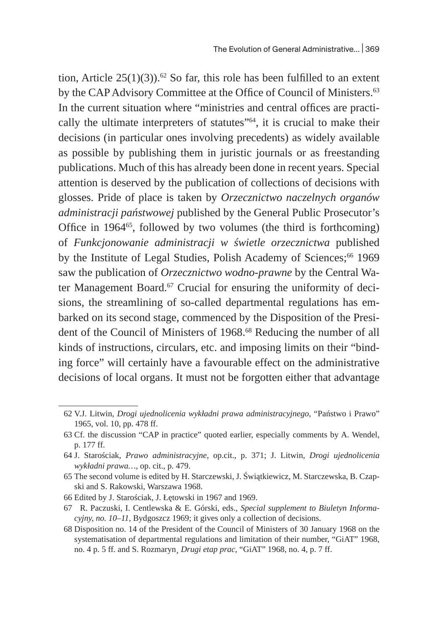tion, Article  $25(1)(3)$ .<sup>62</sup> So far, this role has been fulfilled to an extent by the CAP Advisory Committee at the Office of Council of Ministers.<sup>63</sup> In the current situation where "ministries and central offices are practically the ultimate interpreters of statutes"<sup>64</sup>, it is crucial to make their decisions (in particular ones involving precedents) as widely available as possible by publishing them in juristic journals or as freestanding publications. Much of this has already been done in recent years. Special attention is deserved by the publication of collections of decisions with glosses. Pride of place is taken by *Orzecznictwo naczelnych organów administracji państwowej* published by the General Public Prosecutor's Office in 1964 $65$ , followed by two volumes (the third is forthcoming) of *Funkcjonowanie administracji w świetle orzecznictwa* published by the Institute of Legal Studies, Polish Academy of Sciences;<sup>66</sup> 1969 saw the publication of *Orzecznictwo wodno-prawne* by the Central Water Management Board.<sup>67</sup> Crucial for ensuring the uniformity of decisions, the streamlining of so-called departmental regulations has embarked on its second stage, commenced by the Disposition of the President of the Council of Ministers of 1968.<sup>68</sup> Reducing the number of all kinds of instructions, circulars, etc. and imposing limits on their "binding force" will certainly have a favourable effect on the administrative decisions of local organs. It must not be forgotten either that advantage

<sup>62</sup> V.J. Litwin, *Drogi ujednolicenia wykładni prawa administracyjnego*, "Państwo i Prawo" 1965, vol. 10, pp. 478 ff.

<sup>63</sup> Cf. the discussion "CAP in practice" quoted earlier, especially comments by A. Wendel, p. 177 ff.

<sup>64</sup> J. Starościak, *Prawo administracyjne*, op.cit., p. 371; J. Litwin, *Drogi ujednolicenia wykładni prawa…*, op. cit., p. 479.

<sup>65</sup> The second volume is edited by H. Starczewski, J. Świątkiewicz, M. Starczewska, B. Czapski and S. Rakowski, Warszawa 1968.

<sup>66</sup> Edited by J. Starościak, J. Łętowski in 1967 and 1969.

<sup>67</sup> R. Paczuski, I. Centlewska & E. Górski, eds., *Special supplement to Biuletyn Informacyjny, no. 10–11*, Bydgoszcz 1969; it gives only a collection of decisions.

<sup>68</sup> Disposition no. 14 of the President of the Council of Ministers of 30 January 1968 on the systematisation of departmental regulations and limitation of their number, "GiAT" 1968, no. 4 p. 5 ff. and S. Rozmaryn¸ *Drugi etap prac*, "GiAT" 1968, no. 4, p. 7 ff.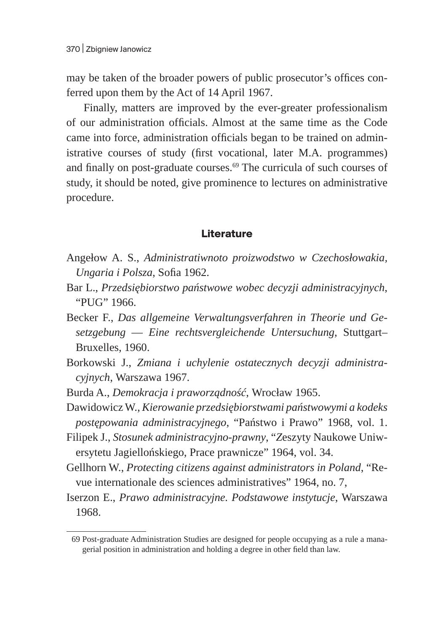may be taken of the broader powers of public prosecutor's offices conferred upon them by the Act of 14 April 1967.

Finally, matters are improved by the ever-greater professionalism of our administration officials. Almost at the same time as the Code came into force, administration officials began to be trained on administrative courses of study (first vocational, later M.A. programmes) and finally on post-graduate courses. $69$  The curricula of such courses of study, it should be noted, give prominence to lectures on administrative procedure.

## **Literature**

- Angełow A. S., *Administratiwnoto proizwodstwo w Czechosłowakia, Ungaria i Polsza*, Sofia 1962.
- Bar L., *Przedsiębiorstwo państwowe wobec decyzji administracyjnych*, "PUG" 1966.
- Becker F., *Das allgemeine Verwaltungsverfahren in Theorie und Gesetzgebung* — *Eine rechtsvergleichende Untersuchung*, Stuttgart– Bruxelles, 1960.
- Borkowski J., *Zmiana i uchylenie ostatecznych decyzji administracyjnych*, Warszawa 1967.
- Burda A., *Demokracja i praworządność*, Wrocław 1965.
- Dawidowicz W., *Kierowanie przedsiębiorstwami państwowymi a kodeks postępowania administracyjnego*, "Państwo i Prawo" 1968, vol. 1.
- Filipek J., *Stosunek administracyjno-prawny*, "*Z*eszyty Naukowe Uniwersytetu Jagiellońskiego, Prace prawnicze" 1964, vol. 34.
- Gellhorn W., *Protecting citizens against administrators in Poland*, "Revue internationale des sciences administratives" 1964, no. 7,
- Iserzon E., *Prawo administracyjne. Podstawowe instytucje*, Warszawa 1968.

<sup>69</sup> Post-graduate Administration Studies are designed for people occupying as a rule a managerial position in administration and holding a degree in other field than law.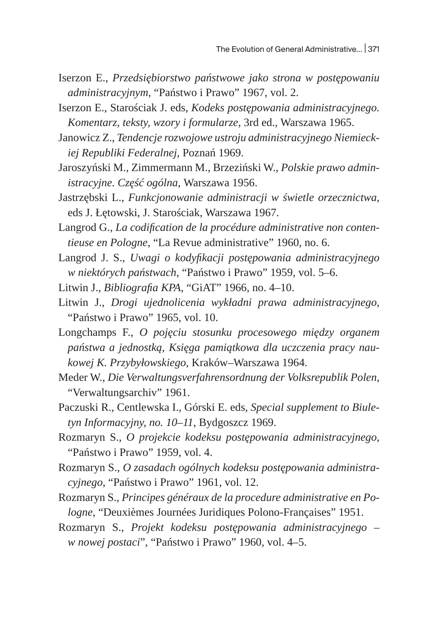- Iserzon E., *Przedsiębiorstwo państwowe jako strona w postępowaniu administracyjnym*, "Państwo i Prawo" 1967, vol. 2.
- Iserzon E., Starościak J. eds, *Kodeks postępowania administracyjnego. Komentarz, teksty, wzory i formularze*, 3rd ed., Warszawa 1965.
- Janowicz Z., *Tendencje rozwojowe ustroju administracyjnego Niemieckiej Republiki Federalnej*, Poznań 1969.
- Jaroszyński M., Zimmermann M., Brzeziński W., *Polskie prawo administracyjne. Część ogólna*, Warszawa 1956.
- Jastrzębski L., *Funkcjonowanie administracji w świetle orzecznictwa*, eds J. Łętowski, J. Starościak, Warszawa 1967.
- Langrod G., *La codification de la procédure administrative non contentieuse en Pologne*, "La Revue administrative" 1960, no. 6.
- Langrod J. S., *Uwagi o kodyfikacji postępowania administracyjnego w niektórych państwach*, "Państwo i Prawo" 1959, vol. 5–6.
- Litwin J., *Bibliografia KPA*, "GiAT" 1966, no. 4–10.
- Litwin J., *Drogi ujednolicenia wykładni prawa administracyjnego*, "Państwo i Prawo" 1965, vol. 10.
- Longchamps F., *O pojęciu stosunku procesowego między organem państwa a jednostką, Księga pamiątkowa dla uczczenia pracy naukowej K. Przybyłowskiego*, Kraków–Warszawa 1964.
- Meder W., *Die Verwaltungsverfahrensordnung der Volksrepublik Polen*, "Verwaltungsarchiv" 1961.
- Paczuski R., Centlewska I., Górski E. eds, *Special supplement to Biuletyn Informacyjny, no. 10–11*, Bydgoszcz 1969.
- Rozmaryn S., *O projekcie kodeksu postępowania administracyjnego*, "Państwo i Prawo" 1959, vol. 4.
- Rozmaryn S., *O zasadach ogólnych kodeksu postępowania administracyjnego*, "Państwo i Prawo" 1961, vol. 12.
- Rozmaryn S., *Principes généraux de la procedure administrative en Pologne*, "Deuxièmes Journées Juridiques Polono-Françaises" 1951.
- Rozmaryn S., *Projekt kodeksu postępowania administracyjnego w nowej postaci*", "Państwo i Prawo" 1960, vol. 4–5.